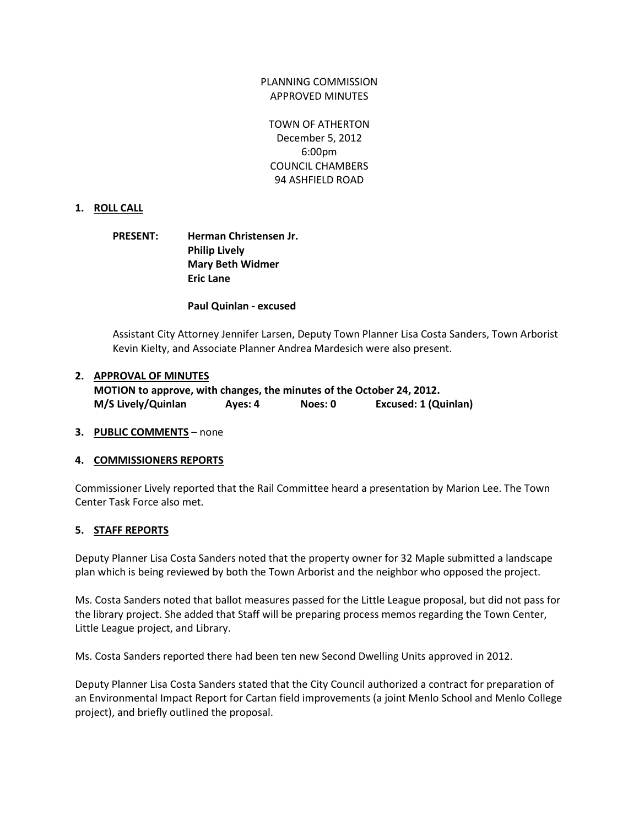# PLANNING COMMISSION APPROVED MINUTES

TOWN OF ATHERTON December 5, 2012 6:00pm COUNCIL CHAMBERS 94 ASHFIELD ROAD

# **1. ROLL CALL**

# **PRESENT: Herman Christensen Jr. Philip Lively Mary Beth Widmer Eric Lane**

**Paul Quinlan - excused**

Assistant City Attorney Jennifer Larsen, Deputy Town Planner Lisa Costa Sanders, Town Arborist Kevin Kielty, and Associate Planner Andrea Mardesich were also present.

### **2. APPROVAL OF MINUTES**

**MOTION to approve, with changes, the minutes of the October 24, 2012. M/S Lively/Quinlan Ayes: 4 Noes: 0 Excused: 1 (Quinlan)**

### **3. PUBLIC COMMENTS** – none

### **4. COMMISSIONERS REPORTS**

Commissioner Lively reported that the Rail Committee heard a presentation by Marion Lee. The Town Center Task Force also met.

# **5. STAFF REPORTS**

Deputy Planner Lisa Costa Sanders noted that the property owner for 32 Maple submitted a landscape plan which is being reviewed by both the Town Arborist and the neighbor who opposed the project.

Ms. Costa Sanders noted that ballot measures passed for the Little League proposal, but did not pass for the library project. She added that Staff will be preparing process memos regarding the Town Center, Little League project, and Library.

Ms. Costa Sanders reported there had been ten new Second Dwelling Units approved in 2012.

Deputy Planner Lisa Costa Sanders stated that the City Council authorized a contract for preparation of an Environmental Impact Report for Cartan field improvements (a joint Menlo School and Menlo College project), and briefly outlined the proposal.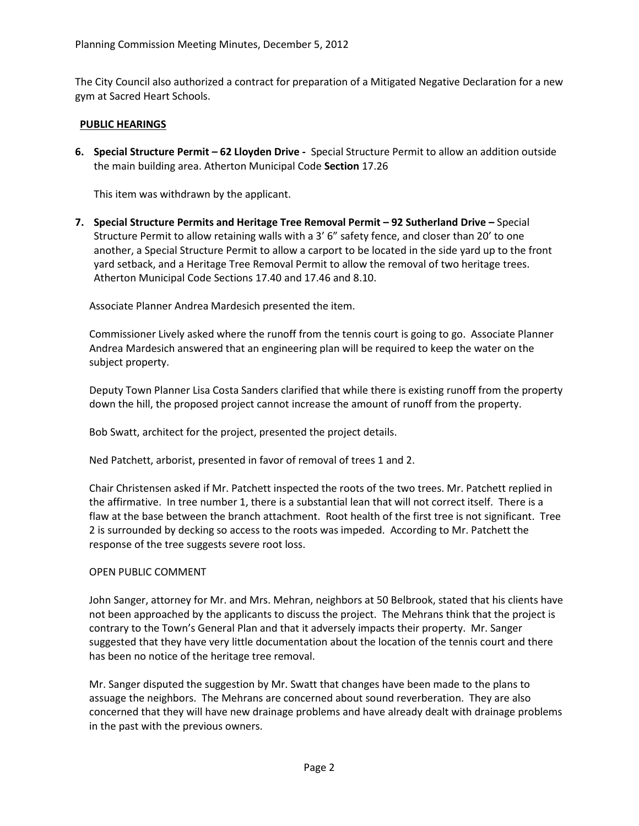The City Council also authorized a contract for preparation of a Mitigated Negative Declaration for a new gym at Sacred Heart Schools.

## **PUBLIC HEARINGS**

**6. Special Structure Permit – 62 Lloyden Drive -** Special Structure Permit to allow an addition outside the main building area. Atherton Municipal Code **Section** 17.26

This item was withdrawn by the applicant.

**7. Special Structure Permits and Heritage Tree Removal Permit – 92 Sutherland Drive –** Special Structure Permit to allow retaining walls with a 3' 6" safety fence, and closer than 20' to one another, a Special Structure Permit to allow a carport to be located in the side yard up to the front yard setback, and a Heritage Tree Removal Permit to allow the removal of two heritage trees. Atherton Municipal Code Sections 17.40 and 17.46 and 8.10.

Associate Planner Andrea Mardesich presented the item.

Commissioner Lively asked where the runoff from the tennis court is going to go. Associate Planner Andrea Mardesich answered that an engineering plan will be required to keep the water on the subject property.

Deputy Town Planner Lisa Costa Sanders clarified that while there is existing runoff from the property down the hill, the proposed project cannot increase the amount of runoff from the property.

Bob Swatt, architect for the project, presented the project details.

Ned Patchett, arborist, presented in favor of removal of trees 1 and 2.

Chair Christensen asked if Mr. Patchett inspected the roots of the two trees. Mr. Patchett replied in the affirmative. In tree number 1, there is a substantial lean that will not correct itself. There is a flaw at the base between the branch attachment. Root health of the first tree is not significant. Tree 2 is surrounded by decking so access to the roots was impeded. According to Mr. Patchett the response of the tree suggests severe root loss.

### OPEN PUBLIC COMMENT

John Sanger, attorney for Mr. and Mrs. Mehran, neighbors at 50 Belbrook, stated that his clients have not been approached by the applicants to discuss the project. The Mehrans think that the project is contrary to the Town's General Plan and that it adversely impacts their property. Mr. Sanger suggested that they have very little documentation about the location of the tennis court and there has been no notice of the heritage tree removal.

Mr. Sanger disputed the suggestion by Mr. Swatt that changes have been made to the plans to assuage the neighbors. The Mehrans are concerned about sound reverberation. They are also concerned that they will have new drainage problems and have already dealt with drainage problems in the past with the previous owners.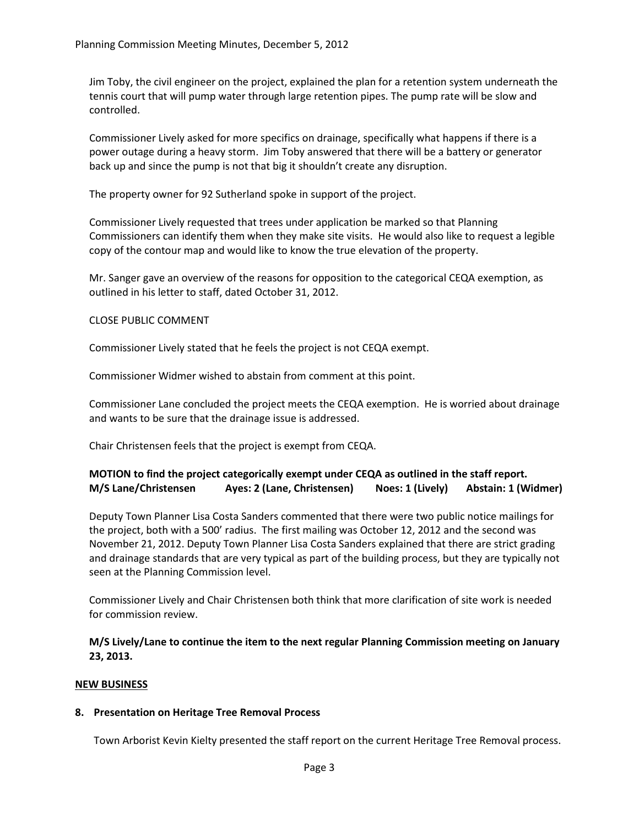Jim Toby, the civil engineer on the project, explained the plan for a retention system underneath the tennis court that will pump water through large retention pipes. The pump rate will be slow and controlled.

Commissioner Lively asked for more specifics on drainage, specifically what happens if there is a power outage during a heavy storm. Jim Toby answered that there will be a battery or generator back up and since the pump is not that big it shouldn't create any disruption.

The property owner for 92 Sutherland spoke in support of the project.

Commissioner Lively requested that trees under application be marked so that Planning Commissioners can identify them when they make site visits. He would also like to request a legible copy of the contour map and would like to know the true elevation of the property.

Mr. Sanger gave an overview of the reasons for opposition to the categorical CEQA exemption, as outlined in his letter to staff, dated October 31, 2012.

# CLOSE PUBLIC COMMENT

Commissioner Lively stated that he feels the project is not CEQA exempt.

Commissioner Widmer wished to abstain from comment at this point.

Commissioner Lane concluded the project meets the CEQA exemption. He is worried about drainage and wants to be sure that the drainage issue is addressed.

Chair Christensen feels that the project is exempt from CEQA.

# **MOTION to find the project categorically exempt under CEQA as outlined in the staff report. M/S Lane/Christensen Ayes: 2 (Lane, Christensen) Noes: 1 (Lively) Abstain: 1 (Widmer)**

Deputy Town Planner Lisa Costa Sanders commented that there were two public notice mailings for the project, both with a 500' radius. The first mailing was October 12, 2012 and the second was November 21, 2012. Deputy Town Planner Lisa Costa Sanders explained that there are strict grading and drainage standards that are very typical as part of the building process, but they are typically not seen at the Planning Commission level.

Commissioner Lively and Chair Christensen both think that more clarification of site work is needed for commission review.

**M/S Lively/Lane to continue the item to the next regular Planning Commission meeting on January 23, 2013.**

# **NEW BUSINESS**

# **8. Presentation on Heritage Tree Removal Process**

Town Arborist Kevin Kielty presented the staff report on the current Heritage Tree Removal process.